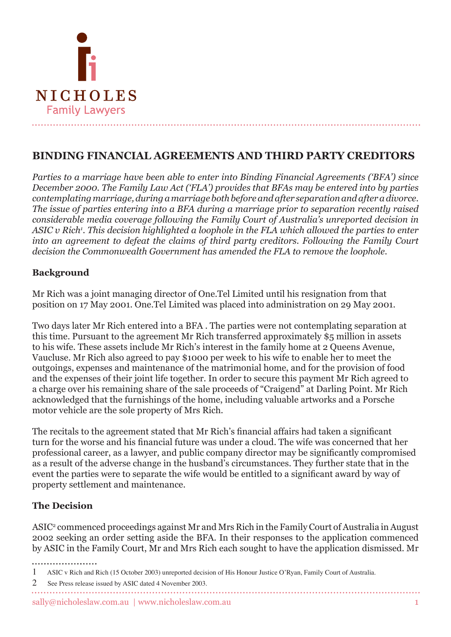

# **BINDING FINANCIAL AGREEMENTS AND THIRD PARTY CREDITORS**

*Parties to a marriage have been able to enter into Binding Financial Agreements ('BFA') since December 2000. The Family Law Act ('FLA') provides that BFAs may be entered into by parties contemplating marriage, during a marriage both before and after separation and after a divorce. The issue of parties entering into a BFA during a marriage prior to separation recently raised considerable media coverage following the Family Court of Australia's unreported decision in ASIC v Rich . This decision highlighted a loophole in the FLA which allowed the parties to enter into an agreement to defeat the claims of third party creditors. Following the Family Court decision the Commonwealth Government has amended the FLA to remove the loophole.* 

## **Background**

Mr Rich was a joint managing director of One.Tel Limited until his resignation from that position on 17 May 2001. One.Tel Limited was placed into administration on 29 May 2001.

Two days later Mr Rich entered into a BFA . The parties were not contemplating separation at this time. Pursuant to the agreement Mr Rich transferred approximately \$5 million in assets to his wife. These assets include Mr Rich's interest in the family home at 2 Queens Avenue, Vaucluse. Mr Rich also agreed to pay \$1000 per week to his wife to enable her to meet the outgoings, expenses and maintenance of the matrimonial home, and for the provision of food and the expenses of their joint life together. In order to secure this payment Mr Rich agreed to a charge over his remaining share of the sale proceeds of "Craigend" at Darling Point. Mr Rich acknowledged that the furnishings of the home, including valuable artworks and a Porsche motor vehicle are the sole property of Mrs Rich.

The recitals to the agreement stated that Mr Rich's financial affairs had taken a significant turn for the worse and his financial future was under a cloud. The wife was concerned that her professional career, as a lawyer, and public company director may be significantly compromised as a result of the adverse change in the husband's circumstances. They further state that in the event the parties were to separate the wife would be entitled to a significant award by way of property settlement and maintenance.

# **The Decision**

ASIC<sup>2</sup> commenced proceedings against Mr and Mrs Rich in the Family Court of Australia in August 2002 seeking an order setting aside the BFA. In their responses to the application commenced by ASIC in the Family Court, Mr and Mrs Rich each sought to have the application dismissed. Mr

2 See Press release issued by ASIC dated 4 November 2003.

 ASIC v Rich and Rich (15 October 2003) unreported decision of His Honour Justice O'Ryan, Family Court of Australia.